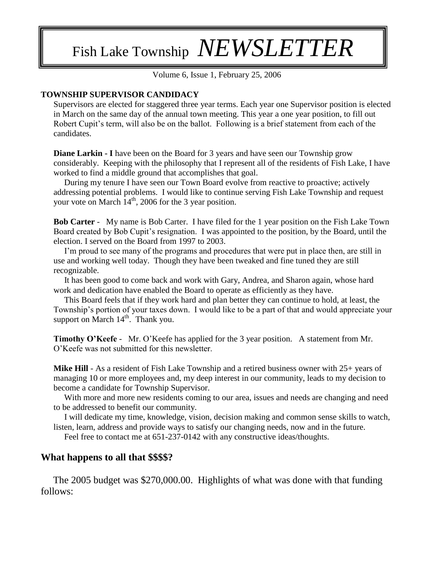# Fish Lake Township *NEWSLETTER*

Volume 6, Issue 1, February 25, 2006

#### **TOWNSHIP SUPERVISOR CANDIDACY**

Supervisors are elected for staggered three year terms. Each year one Supervisor position is elected in March on the same day of the annual town meeting. This year a one year position, to fill out Robert Cupit's term, will also be on the ballot. Following is a brief statement from each of the candidates.

**Diane Larkin - I** have been on the Board for 3 years and have seen our Township grow considerably. Keeping with the philosophy that I represent all of the residents of Fish Lake, I have worked to find a middle ground that accomplishes that goal.

 During my tenure I have seen our Town Board evolve from reactive to proactive; actively addressing potential problems. I would like to continue serving Fish Lake Township and request your vote on March  $14<sup>th</sup>$ , 2006 for the 3 year position.

**Bob Carter** - My name is Bob Carter. I have filed for the 1 year position on the Fish Lake Town Board created by Bob Cupit's resignation. I was appointed to the position, by the Board, until the election. I served on the Board from 1997 to 2003.

 I'm proud to see many of the programs and procedures that were put in place then, are still in use and working well today. Though they have been tweaked and fine tuned they are still recognizable.

 It has been good to come back and work with Gary, Andrea, and Sharon again, whose hard work and dedication have enabled the Board to operate as efficiently as they have.

 This Board feels that if they work hard and plan better they can continue to hold, at least, the Township's portion of your taxes down. I would like to be a part of that and would appreciate your support on March  $14<sup>th</sup>$ . Thank you.

**Timothy O'Keefe** - Mr. O'Keefe has applied for the 3 year position. A statement from Mr. O'Keefe was not submitted for this newsletter.

**Mike Hill** - As a resident of Fish Lake Township and a retired business owner with 25+ years of managing 10 or more employees and, my deep interest in our community, leads to my decision to become a candidate for Township Supervisor.

With more and more new residents coming to our area, issues and needs are changing and need to be addressed to benefit our community.

 I will dedicate my time, knowledge, vision, decision making and common sense skills to watch, listen, learn, address and provide ways to satisfy our changing needs, now and in the future.

Feel free to contact me at  $651-237-0142$  with any constructive ideas/thoughts.

### **What happens to all that \$\$\$\$?**

 The 2005 budget was \$270,000.00. Highlights of what was done with that funding follows: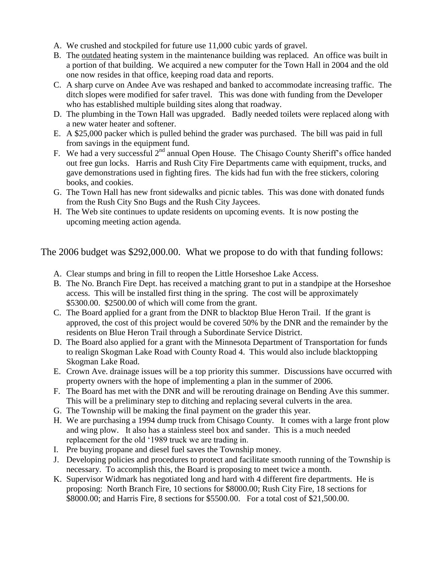- A. We crushed and stockpiled for future use 11,000 cubic yards of gravel.
- B. The outdated heating system in the maintenance building was replaced. An office was built in a portion of that building. We acquired a new computer for the Town Hall in 2004 and the old one now resides in that office, keeping road data and reports.
- C. A sharp curve on Andee Ave was reshaped and banked to accommodate increasing traffic. The ditch slopes were modified for safer travel. This was done with funding from the Developer who has established multiple building sites along that roadway.
- D. The plumbing in the Town Hall was upgraded. Badly needed toilets were replaced along with a new water heater and softener.
- E. A \$25,000 packer which is pulled behind the grader was purchased. The bill was paid in full from savings in the equipment fund.
- F. We had a very successful 2<sup>nd</sup> annual Open House. The Chisago County Sheriff's office handed out free gun locks. Harris and Rush City Fire Departments came with equipment, trucks, and gave demonstrations used in fighting fires. The kids had fun with the free stickers, coloring books, and cookies.
- G. The Town Hall has new front sidewalks and picnic tables. This was done with donated funds from the Rush City Sno Bugs and the Rush City Jaycees.
- H. The Web site continues to update residents on upcoming events. It is now posting the upcoming meeting action agenda.

The 2006 budget was \$292,000.00. What we propose to do with that funding follows:

- A. Clear stumps and bring in fill to reopen the Little Horseshoe Lake Access.
- B. The No. Branch Fire Dept. has received a matching grant to put in a standpipe at the Horseshoe access. This will be installed first thing in the spring. The cost will be approximately \$5300.00. \$2500.00 of which will come from the grant.
- C. The Board applied for a grant from the DNR to blacktop Blue Heron Trail. If the grant is approved, the cost of this project would be covered 50% by the DNR and the remainder by the residents on Blue Heron Trail through a Subordinate Service District.
- D. The Board also applied for a grant with the Minnesota Department of Transportation for funds to realign Skogman Lake Road with County Road 4. This would also include blacktopping Skogman Lake Road.
- E. Crown Ave. drainage issues will be a top priority this summer. Discussions have occurred with property owners with the hope of implementing a plan in the summer of 2006.
- F. The Board has met with the DNR and will be rerouting drainage on Bending Ave this summer. This will be a preliminary step to ditching and replacing several culverts in the area.
- G. The Township will be making the final payment on the grader this year.
- H. We are purchasing a 1994 dump truck from Chisago County. It comes with a large front plow and wing plow. It also has a stainless steel box and sander. This is a much needed replacement for the old '1989 truck we are trading in.
- I. Pre buying propane and diesel fuel saves the Township money.
- J. Developing policies and procedures to protect and facilitate smooth running of the Township is necessary. To accomplish this, the Board is proposing to meet twice a month.
- K. Supervisor Widmark has negotiated long and hard with 4 different fire departments. He is proposing: North Branch Fire, 10 sections for \$8000.00; Rush City Fire, 18 sections for \$8000.00; and Harris Fire, 8 sections for \$5500.00. For a total cost of \$21,500.00.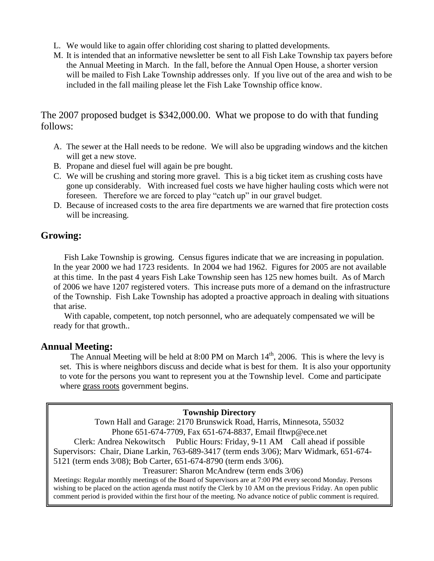- L. We would like to again offer chloriding cost sharing to platted developments.
- M. It is intended that an informative newsletter be sent to all Fish Lake Township tax payers before the Annual Meeting in March. In the fall, before the Annual Open House, a shorter version will be mailed to Fish Lake Township addresses only. If you live out of the area and wish to be included in the fall mailing please let the Fish Lake Township office know.

The 2007 proposed budget is \$342,000.00. What we propose to do with that funding follows:

- A. The sewer at the Hall needs to be redone. We will also be upgrading windows and the kitchen will get a new stove.
- B. Propane and diesel fuel will again be pre bought.
- C. We will be crushing and storing more gravel. This is a big ticket item as crushing costs have gone up considerably. With increased fuel costs we have higher hauling costs which were not foreseen. Therefore we are forced to play "catch up" in our gravel budget.
- D. Because of increased costs to the area fire departments we are warned that fire protection costs will be increasing.

## **Growing:**

 Fish Lake Township is growing. Census figures indicate that we are increasing in population. In the year 2000 we had 1723 residents. In 2004 we had 1962. Figures for 2005 are not available at this time. In the past 4 years Fish Lake Township seen has 125 new homes built. As of March of 2006 we have 1207 registered voters. This increase puts more of a demand on the infrastructure of the Township. Fish Lake Township has adopted a proactive approach in dealing with situations that arise.

 With capable, competent, top notch personnel, who are adequately compensated we will be ready for that growth..

## **Annual Meeting:**

The Annual Meeting will be held at  $8:00 \text{ PM}$  on March  $14^{\text{th}}$ , 2006. This is where the levy is set. This is where neighbors discuss and decide what is best for them. It is also your opportunity to vote for the persons you want to represent you at the Township level. Come and participate where grass roots government begins.

#### **Township Directory**

Town Hall and Garage: 2170 Brunswick Road, Harris, Minnesota, 55032 Phone 651-674-7709, Fax 651-674-8837, Email fltwp@ece.net

Clerk: Andrea Nekowitsch Public Hours: Friday, 9-11 AM Call ahead if possible Supervisors: Chair, Diane Larkin, 763-689-3417 (term ends 3/06); Marv Widmark, 651-674- 5121 (term ends 3/08); Bob Carter, 651-674-8790 (term ends 3/06).

Treasurer: Sharon McAndrew (term ends 3/06)

Meetings: Regular monthly meetings of the Board of Supervisors are at 7:00 PM every second Monday. Persons wishing to be placed on the action agenda must notify the Clerk by 10 AM on the previous Friday. An open public comment period is provided within the first hour of the meeting. No advance notice of public comment is required.